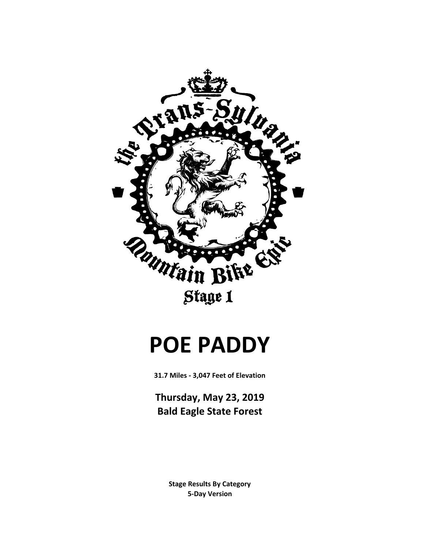

# **POE PADDY**

**31.7 Miles - 3,047 Feet of Elevation**

**Thursday, May 23, 2019 Bald Eagle State Forest**

> **Stage Results By Category 5-Day Version**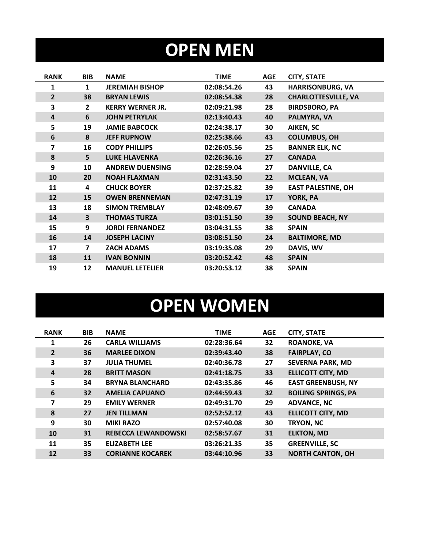# **OPEN MEN**

| <b>RANK</b>    | <b>BIB</b>     | <b>NAME</b>             | TIME        | <b>AGE</b> | <b>CITY, STATE</b>         |
|----------------|----------------|-------------------------|-------------|------------|----------------------------|
| 1              | $\mathbf{1}$   | <b>JEREMIAH BISHOP</b>  | 02:08:54.26 | 43         | <b>HARRISONBURG, VA</b>    |
| $\overline{2}$ | 38             | <b>BRYAN LEWIS</b>      | 02:08:54.38 | 28         | <b>CHARLOTTESVILLE, VA</b> |
| 3              | $\overline{2}$ | <b>KERRY WERNER JR.</b> | 02:09:21.98 | 28         | <b>BIRDSBORO, PA</b>       |
| 4              | 6              | <b>JOHN PETRYLAK</b>    | 02:13:40.43 | 40         | PALMYRA, VA                |
| 5              | 19             | <b>JAMIE BABCOCK</b>    | 02:24:38.17 | 30         | AIKEN, SC                  |
| 6              | 8              | <b>JEFF RUPNOW</b>      | 02:25:38.66 | 43         | <b>COLUMBUS, OH</b>        |
| 7              | 16             | <b>CODY PHILLIPS</b>    | 02:26:05.56 | 25         | <b>BANNER ELK, NC</b>      |
| 8              | 5              | <b>LUKE HLAVENKA</b>    | 02:26:36.16 | 27         | <b>CANADA</b>              |
| 9              | 10             | <b>ANDREW DUENSING</b>  | 02:28:59.04 | 27         | <b>DANVILLE, CA</b>        |
| 10             | 20             | <b>NOAH FLAXMAN</b>     | 02:31:43.50 | 22         | <b>MCLEAN, VA</b>          |
| 11             | 4              | <b>CHUCK BOYER</b>      | 02:37:25.82 | 39         | <b>EAST PALESTINE, OH</b>  |
| 12             | 15             | <b>OWEN BRENNEMAN</b>   | 02:47:31.19 | 17         | YORK, PA                   |
| 13             | 18             | <b>SIMON TREMBLAY</b>   | 02:48:09.67 | 39         | <b>CANADA</b>              |
| 14             | 3              | <b>THOMAS TURZA</b>     | 03:01:51.50 | 39         | <b>SOUND BEACH, NY</b>     |
| 15             | 9              | <b>JORDI FERNANDEZ</b>  | 03:04:31.55 | 38         | <b>SPAIN</b>               |
| 16             | 14             | <b>JOSEPH LACINY</b>    | 03:08:51.50 | 24         | <b>BALTIMORE, MD</b>       |
| 17             | $\overline{ }$ | <b>ZACH ADAMS</b>       | 03:19:35.08 | 29         | DAVIS, WV                  |
| 18             | 11             | <b>IVAN BONNIN</b>      | 03:20:52.42 | 48         | <b>SPAIN</b>               |
| 19             | 12             | <b>MANUEL LETELIER</b>  | 03:20:53.12 | 38         | <b>SPAIN</b>               |

# **OPEN WOMEN**

| <b>RANK</b>    | <b>BIB</b> | <b>NAME</b>                | <b>TIME</b> | <b>AGE</b> | <b>CITY, STATE</b>         |
|----------------|------------|----------------------------|-------------|------------|----------------------------|
| 1              | 26         | <b>CARLA WILLIAMS</b>      | 02:28:36.64 | 32         | <b>ROANOKE, VA</b>         |
| $\overline{2}$ | 36         | <b>MARLEE DIXON</b>        | 02:39:43.40 | 38         | <b>FAIRPLAY, CO</b>        |
| 3              | 37         | <b>JULIA THUMEL</b>        | 02:40:36.78 | 27         | <b>SEVERNA PARK, MD</b>    |
| $\overline{4}$ | 28         | <b>BRITT MASON</b>         | 02:41:18.75 | 33         | <b>ELLICOTT CITY, MD</b>   |
| 5              | 34         | <b>BRYNA BLANCHARD</b>     | 02:43:35.86 | 46         | <b>EAST GREENBUSH, NY</b>  |
| 6              | 32         | <b>AMELIA CAPUANO</b>      | 02:44:59.43 | 32         | <b>BOILING SPRINGS, PA</b> |
| 7              | 29         | <b>EMILY WERNER</b>        | 02:49:31.70 | 29         | <b>ADVANCE, NC</b>         |
| 8              | 27         | <b>JEN TILLMAN</b>         | 02:52:52.12 | 43         | <b>ELLICOTT CITY, MD</b>   |
| 9              | 30         | <b>MIKI RAZO</b>           | 02:57:40.08 | 30         | TRYON, NC                  |
| 10             | 31         | <b>REBECCA LEWANDOWSKI</b> | 02:58:57.67 | 31         | <b>ELKTON, MD</b>          |
| 11             | 35         | <b>ELIZABETH LEE</b>       | 03:26:21.35 | 35         | <b>GREENVILLE, SC</b>      |
| 12             | 33         | <b>CORIANNE KOCAREK</b>    | 03:44:10.96 | 33         | <b>NORTH CANTON, OH</b>    |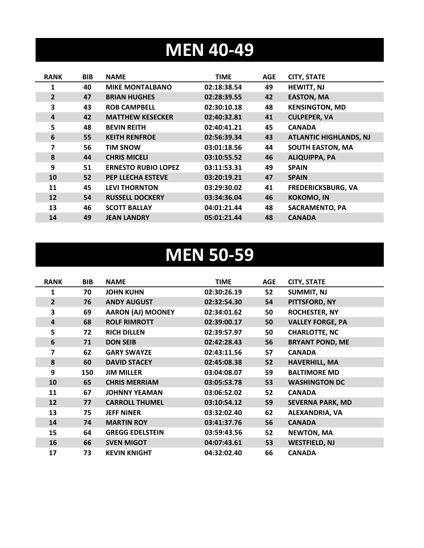### **MEN 40-49**

| <b>RANK</b>    | <b>BIB</b> | <b>NAME</b>                | <b>TIME</b> | <b>AGE</b> | <b>CITY, STATE</b>            |
|----------------|------------|----------------------------|-------------|------------|-------------------------------|
| 1              | 40         | <b>MIKE MONTALBANO</b>     | 02:18:38.54 | 49         | <b>HEWITT, NJ</b>             |
| $\overline{2}$ | 47         | <b>BRIAN HUGHES</b>        | 02:28:39.55 | 42         | <b>EASTON, MA</b>             |
| 3              | 43         | <b>ROB CAMPBELL</b>        | 02:30:10.18 | 48         | <b>KENSINGTON, MD</b>         |
| 4              | 42         | <b>MATTHEW KESECKER</b>    | 02:40:32.81 | 41         | <b>CULPEPER, VA</b>           |
| 5              | 48         | <b>BEVIN REITH</b>         | 02:40:41.21 | 45         | <b>CANADA</b>                 |
| 6              | 55         | <b>KEITH RENFROE</b>       | 02:56:39.34 | 43         | <b>ATLANTIC HIGHLANDS, NJ</b> |
| 7              | 56         | <b>TIM SNOW</b>            | 03:01:18.56 | 44         | <b>SOUTH EASTON, MA</b>       |
| 8              | 44         | <b>CHRIS MICELI</b>        | 03:10:55.52 | 46         | <b>ALIQUIPPA, PA</b>          |
| 9              | 51         | <b>ERNESTO RUBIO LOPEZ</b> | 03:11:53.31 | 49         | <b>SPAIN</b>                  |
| 10             | 52         | <b>PEP LLECHA ESTEVE</b>   | 03:20:19.21 | 47         | <b>SPAIN</b>                  |
| 11             | 45         | <b>LEVI THORNTON</b>       | 03:29:30.02 | 41         | <b>FREDERICKSBURG, VA</b>     |
| 12             | 54         | <b>RUSSELL DOCKERY</b>     | 03:34:36.04 | 46         | <b>KOKOMO, IN</b>             |
| 13             | 46         | <b>SCOTT BALLAY</b>        | 04:01:21.44 | 48         | <b>SACRAMENTO, PA</b>         |
| 14             | 49         | <b>JEAN LANDRY</b>         | 05:01:21.44 | 48         | <b>CANADA</b>                 |

### **MEN 50-59**

| <b>RANK</b>    | <b>BIB</b> | <b>NAME</b>              | <b>TIME</b> | <b>AGE</b> | <b>CITY, STATE</b>      |
|----------------|------------|--------------------------|-------------|------------|-------------------------|
| 1              | 70         | <b>JOHN KUHN</b>         | 02:30:26.19 | 52         | <b>SUMMIT, NJ</b>       |
| $\overline{2}$ | 76         | <b>ANDY AUGUST</b>       | 02:32:54.30 | 54         | PITTSFORD, NY           |
| 3              | 69         | <b>AARON (AJ) MOONEY</b> | 02:34:01.62 | 50         | <b>ROCHESTER, NY</b>    |
| 4              | 68         | <b>ROLF RIMROTT</b>      | 02:39:00.17 | 50         | <b>VALLEY FORGE, PA</b> |
| 5              | 72         | <b>RICH DILLEN</b>       | 02:39:57.97 | 50         | <b>CHARLOTTE, NC</b>    |
| 6              | 71         | <b>DON SEIB</b>          | 02:42:28.43 | 56         | <b>BRYANT POND, ME</b>  |
| 7              | 62         | <b>GARY SWAYZE</b>       | 02:43:11.56 | 57         | <b>CANADA</b>           |
| 8              | 60         | <b>DAVID STACEY</b>      | 02:45:08.38 | 52         | <b>HAVERHILL, MA</b>    |
| 9              | 150        | <b>JIM MILLER</b>        | 03:04:08.07 | 59         | <b>BALTIMORE MD</b>     |
| 10             | 65         | <b>CHRIS MERRIAM</b>     | 03:05:53.78 | 53         | <b>WASHINGTON DC</b>    |
| 11             | 67         | <b>JOHNNY YEAMAN</b>     | 03:06:52.02 | 52         | <b>CANADA</b>           |
| 12             | 77         | <b>CARROLL THUMEL</b>    | 03:10:54.12 | 59         | <b>SEVERNA PARK, MD</b> |
| 13             | 75         | <b>JEFF NINER</b>        | 03:32:02.40 | 62         | <b>ALEXANDRIA, VA</b>   |
| 14             | 74         | <b>MARTIN ROY</b>        | 03:41:37.76 | 56         | <b>CANADA</b>           |
| 15             | 64         | <b>GREGG EDELSTEIN</b>   | 03:59:43.56 | 52         | <b>NEWTON, MA</b>       |
| 16             | 66         | <b>SVEN MIGOT</b>        | 04:07:43.61 | 53         | <b>WESTFIELD, NJ</b>    |
| 17             | 73         | <b>KEVIN KNIGHT</b>      | 04:32:02.40 | 66         | <b>CANADA</b>           |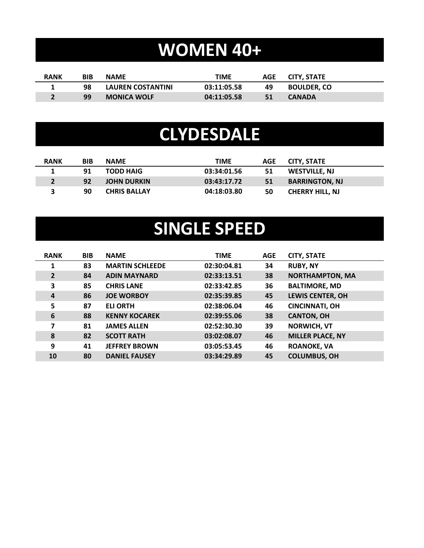# **WOMEN 40+**

| <b>RANK</b> | BIB | <b>NAME</b>              | TIME        |    | AGE CITY. STATE    |
|-------------|-----|--------------------------|-------------|----|--------------------|
|             | 98  | <b>LAUREN COSTANTINI</b> | 03:11:05.58 | 49 | <b>BOULDER. CO</b> |
|             | 99  | <b>MONICA WOLF</b>       | 04:11:05.58 | 51 | <b>CANADA</b>      |

### **CLYDESDALE**

| <b>RANK</b> | <b>BIB</b> | <b>NAME</b>         | TIME        | AGE | <b>CITY, STATE</b>     |
|-------------|------------|---------------------|-------------|-----|------------------------|
|             | 91         | <b>TODD HAIG</b>    | 03:34:01.56 | 51  | WESTVILLE, NJ          |
|             | 92         | <b>JOHN DURKIN</b>  | 03:43:17.72 | 51  | <b>BARRINGTON, NJ</b>  |
|             | 90         | <b>CHRIS BALLAY</b> | 04:18:03.80 | 50  | <b>CHERRY HILL, NJ</b> |

# **SINGLE SPEED**

| <b>RANK</b>    | <b>BIB</b> | <b>NAME</b>            | <b>TIME</b> | <b>AGE</b> | <b>CITY, STATE</b>      |
|----------------|------------|------------------------|-------------|------------|-------------------------|
| 1              | 83         | <b>MARTIN SCHLEEDE</b> | 02:30:04.81 | 34         | <b>RUBY, NY</b>         |
| $\overline{2}$ | 84         | <b>ADIN MAYNARD</b>    | 02:33:13.51 | 38         | <b>NORTHAMPTON, MA</b>  |
| 3              | 85         | <b>CHRIS LANE</b>      | 02:33:42.85 | 36         | <b>BALTIMORE, MD</b>    |
| 4              | 86         | <b>JOE WORBOY</b>      | 02:35:39.85 | 45         | <b>LEWIS CENTER, OH</b> |
| 5              | 87         | <b>ELI ORTH</b>        | 02:38:06.04 | 46         | <b>CINCINNATI, OH</b>   |
| 6              | 88         | <b>KENNY KOCAREK</b>   | 02:39:55.06 | 38         | <b>CANTON, OH</b>       |
| 7              | 81         | <b>JAMES ALLEN</b>     | 02:52:30.30 | 39         | <b>NORWICH, VT</b>      |
| 8              | 82         | <b>SCOTT RATH</b>      | 03:02:08.07 | 46         | <b>MILLER PLACE, NY</b> |
| 9              | 41         | <b>JEFFREY BROWN</b>   | 03:05:53.45 | 46         | <b>ROANOKE, VA</b>      |
| 10             | 80         | <b>DANIEL FAUSEY</b>   | 03:34:29.89 | 45         | <b>COLUMBUS, OH</b>     |